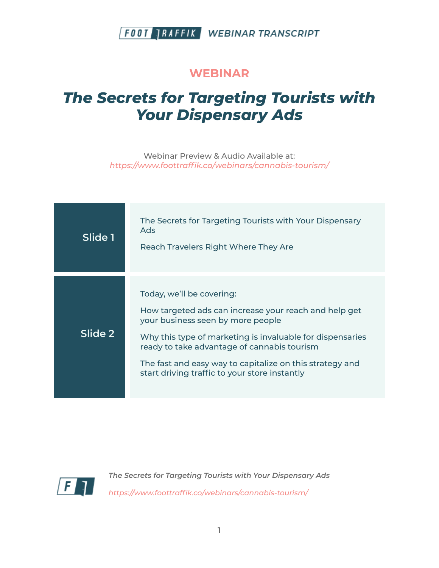### **WEBINAR**

# *The Secrets for Targeting Tourists with Your Dispensary Ads*

Webinar Preview & Audio Available at: *https:/ www.foottraffik.co/webinars/cannabis-tourism/*

| Slide 1 | The Secrets for Targeting Tourists with Your Dispensary<br>Ads<br>Reach Travelers Right Where They Are                                                                                                                                                                                                                                           |
|---------|--------------------------------------------------------------------------------------------------------------------------------------------------------------------------------------------------------------------------------------------------------------------------------------------------------------------------------------------------|
| Slide 2 | Today, we'll be covering:<br>How targeted ads can increase your reach and help get<br>your business seen by more people<br>Why this type of marketing is invaluable for dispensaries<br>ready to take advantage of cannabis tourism<br>The fast and easy way to capitalize on this strategy and<br>start driving traffic to your store instantly |

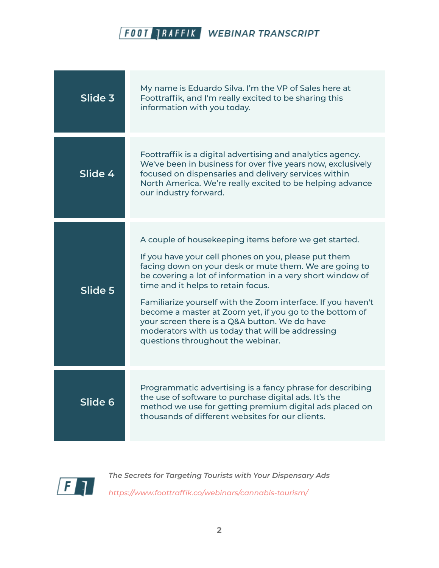| Slide 3 | My name is Eduardo Silva. I'm the VP of Sales here at<br>Foottraffik, and I'm really excited to be sharing this<br>information with you today.                                                                                                                                                                                                                                                                                                                                                                                                   |
|---------|--------------------------------------------------------------------------------------------------------------------------------------------------------------------------------------------------------------------------------------------------------------------------------------------------------------------------------------------------------------------------------------------------------------------------------------------------------------------------------------------------------------------------------------------------|
| Slide 4 | Foottraffik is a digital advertising and analytics agency.<br>We've been in business for over five years now, exclusively<br>focused on dispensaries and delivery services within<br>North America. We're really excited to be helping advance<br>our industry forward.                                                                                                                                                                                                                                                                          |
| Slide 5 | A couple of housekeeping items before we get started.<br>If you have your cell phones on you, please put them<br>facing down on your desk or mute them. We are going to<br>be covering a lot of information in a very short window of<br>time and it helps to retain focus.<br>Familiarize yourself with the Zoom interface. If you haven't<br>become a master at Zoom yet, if you go to the bottom of<br>your screen there is a Q&A button. We do have<br>moderators with us today that will be addressing<br>questions throughout the webinar. |
| Slide 6 | Programmatic advertising is a fancy phrase for describing<br>the use of software to purchase digital ads. It's the<br>method we use for getting premium digital ads placed on<br>thousands of different websites for our clients.                                                                                                                                                                                                                                                                                                                |

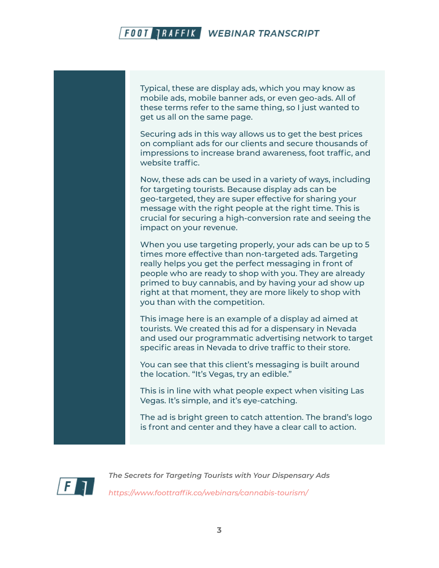Typical, these are display ads, which you may know as mobile ads, mobile banner ads, or even geo-ads. All of these terms refer to the same thing, so I just wanted to get us all on the same page.

Securing ads in this way allows us to get the best prices on compliant ads for our clients and secure thousands of impressions to increase brand awareness, foot traffic, and website traffic.

Now, these ads can be used in a variety of ways, including for targeting tourists. Because display ads can be geo-targeted, they are super effective for sharing your message with the right people at the right time. This is crucial for securing a high-conversion rate and seeing the impact on your revenue.

When you use targeting properly, your ads can be up to 5 times more effective than non-targeted ads. Targeting really helps you get the perfect messaging in front of people who are ready to shop with you. They are already primed to buy cannabis, and by having your ad show up right at that moment, they are more likely to shop with you than with the competition.

This image here is an example of a display ad aimed at tourists. We created this ad for a dispensary in Nevada and used our programmatic advertising network to target specific areas in Nevada to drive traffic to their store.

You can see that this client's messaging is built around the location. "It's Vegas, try an edible."

This is in line with what people expect when visiting Las Vegas. It's simple, and it's eye-catching.

The ad is bright green to catch attention. The brand's logo is front and center and they have a clear call to action.

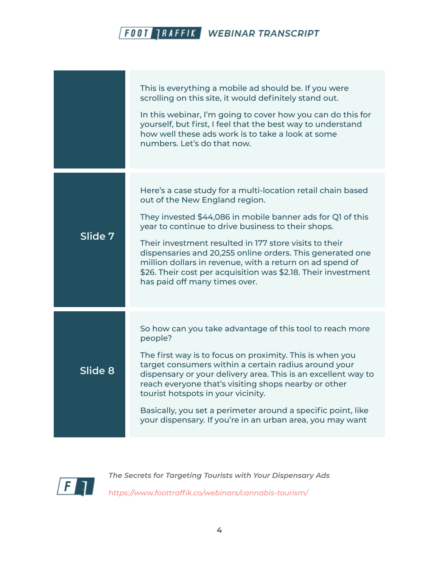|         | This is everything a mobile ad should be. If you were<br>scrolling on this site, it would definitely stand out.<br>In this webinar, I'm going to cover how you can do this for<br>yourself, but first, I feel that the best way to understand<br>how well these ads work is to take a look at some<br>numbers. Let's do that now.                                                                                                                                                                      |
|---------|--------------------------------------------------------------------------------------------------------------------------------------------------------------------------------------------------------------------------------------------------------------------------------------------------------------------------------------------------------------------------------------------------------------------------------------------------------------------------------------------------------|
| Slide 7 | Here's a case study for a multi-location retail chain based<br>out of the New England region.<br>They invested \$44,086 in mobile banner ads for Q1 of this<br>year to continue to drive business to their shops.<br>Their investment resulted in 177 store visits to their<br>dispensaries and 20,255 online orders. This generated one<br>million dollars in revenue, with a return on ad spend of<br>\$26. Their cost per acquisition was \$2.18. Their investment<br>has paid off many times over. |
| Slide 8 | So how can you take advantage of this tool to reach more<br>people?<br>The first way is to focus on proximity. This is when you<br>target consumers within a certain radius around your<br>dispensary or your delivery area. This is an excellent way to<br>reach everyone that's visiting shops nearby or other<br>tourist hotspots in your vicinity.<br>Basically, you set a perimeter around a specific point, like<br>your dispensary. If you're in an urban area, you may want                    |

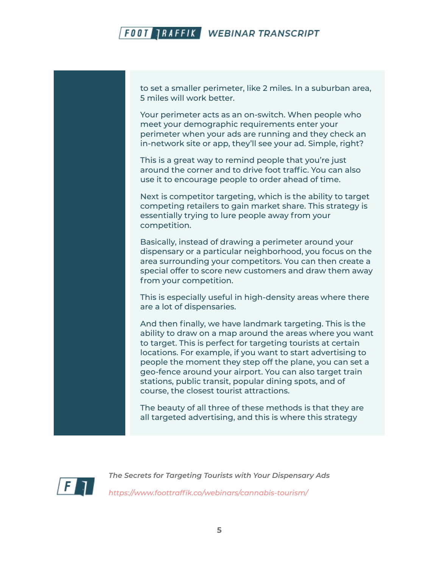to set a smaller perimeter, like 2 miles. In a suburban area, 5 miles will work better.

Your perimeter acts as an on-switch. When people who meet your demographic requirements enter your perimeter when your ads are running and they check an in-network site or app, they'll see your ad. Simple, right?

This is a great way to remind people that you're just around the corner and to drive foot traffic. You can also use it to encourage people to order ahead of time.

Next is competitor targeting, which is the ability to target competing retailers to gain market share. This strategy is essentially trying to lure people away from your competition.

Basically, instead of drawing a perimeter around your dispensary or a particular neighborhood, you focus on the area surrounding your competitors. You can then create a special offer to score new customers and draw them away from your competition.

This is especially useful in high-density areas where there are a lot of dispensaries.

And then finally, we have landmark targeting. This is the ability to draw on a map around the areas where you want to target. This is perfect for targeting tourists at certain locations. For example, if you want to start advertising to people the moment they step off the plane, you can set a geo-fence around your airport. You can also target train stations, public transit, popular dining spots, and of course, the closest tourist attractions.

The beauty of all three of these methods is that they are all targeted advertising, and this is where this strategy

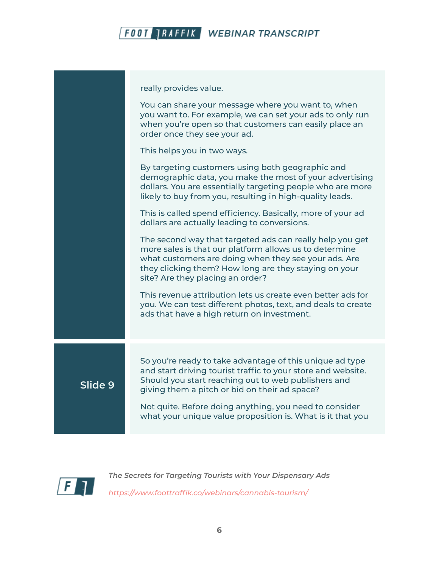

|         | really provides value.                                                                                                                                                                                                                                                  |
|---------|-------------------------------------------------------------------------------------------------------------------------------------------------------------------------------------------------------------------------------------------------------------------------|
|         | You can share your message where you want to, when<br>you want to. For example, we can set your ads to only run<br>when you're open so that customers can easily place an<br>order once they see your ad.                                                               |
|         | This helps you in two ways.                                                                                                                                                                                                                                             |
|         | By targeting customers using both geographic and<br>demographic data, you make the most of your advertising<br>dollars. You are essentially targeting people who are more<br>likely to buy from you, resulting in high-quality leads.                                   |
|         | This is called spend efficiency. Basically, more of your ad<br>dollars are actually leading to conversions.                                                                                                                                                             |
|         | The second way that targeted ads can really help you get<br>more sales is that our platform allows us to determine<br>what customers are doing when they see your ads. Are<br>they clicking them? How long are they staying on your<br>site? Are they placing an order? |
|         | This revenue attribution lets us create even better ads for<br>you. We can test different photos, text, and deals to create<br>ads that have a high return on investment.                                                                                               |
|         |                                                                                                                                                                                                                                                                         |
| Slide 9 | So you're ready to take advantage of this unique ad type<br>and start driving tourist traffic to your store and website.<br>Should you start reaching out to web publishers and<br>giving them a pitch or bid on their ad space?                                        |
|         | Not quite. Before doing anything, you need to consider<br>what your unique value proposition is. What is it that you                                                                                                                                                    |

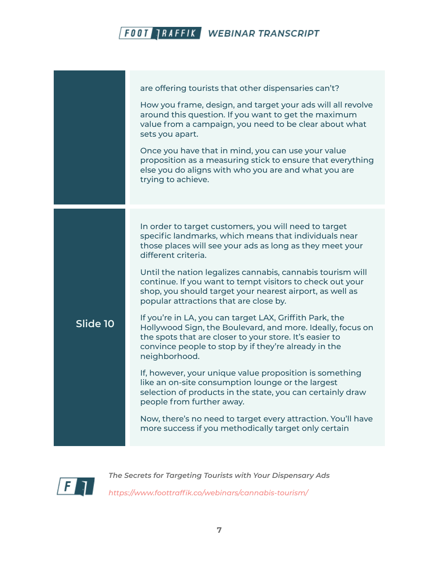|          | are offering tourists that other dispensaries can't?<br>How you frame, design, and target your ads will all revolve<br>around this question. If you want to get the maximum<br>value from a campaign, you need to be clear about what<br>sets you apart.<br>Once you have that in mind, you can use your value<br>proposition as a measuring stick to ensure that everything<br>else you do aligns with who you are and what you are<br>trying to achieve. |
|----------|------------------------------------------------------------------------------------------------------------------------------------------------------------------------------------------------------------------------------------------------------------------------------------------------------------------------------------------------------------------------------------------------------------------------------------------------------------|
|          | In order to target customers, you will need to target<br>specific landmarks, which means that individuals near<br>those places will see your ads as long as they meet your<br>different criteria.<br>Until the nation legalizes cannabis, cannabis tourism will<br>continue. If you want to tempt visitors to check out your<br>shop, you should target your nearest airport, as well as<br>popular attractions that are close by.                         |
| Slide 10 | If you're in LA, you can target LAX, Griffith Park, the<br>Hollywood Sign, the Boulevard, and more. Ideally, focus on<br>the spots that are closer to your store. It's easier to<br>convince people to stop by if they're already in the<br>neighborhood.                                                                                                                                                                                                  |
|          | If, however, your unique value proposition is something<br>like an on-site consumption lounge or the largest<br>selection of products in the state, you can certainly draw<br>people from further away.                                                                                                                                                                                                                                                    |
|          | Now, there's no need to target every attraction. You'll have<br>more success if you methodically target only certain                                                                                                                                                                                                                                                                                                                                       |

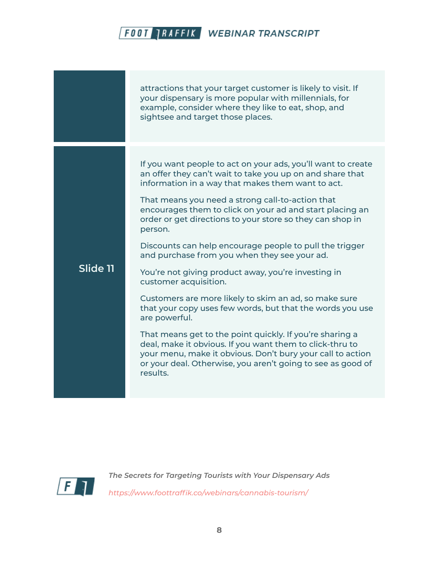|          | attractions that your target customer is likely to visit. If<br>your dispensary is more popular with millennials, for<br>example, consider where they like to eat, shop, and<br>sightsee and target those places.                                                                                                                                                                                                                                                                                                                                                                                                                                                                                                                                                                                                                                                                                                                                                         |
|----------|---------------------------------------------------------------------------------------------------------------------------------------------------------------------------------------------------------------------------------------------------------------------------------------------------------------------------------------------------------------------------------------------------------------------------------------------------------------------------------------------------------------------------------------------------------------------------------------------------------------------------------------------------------------------------------------------------------------------------------------------------------------------------------------------------------------------------------------------------------------------------------------------------------------------------------------------------------------------------|
| Slide 11 | If you want people to act on your ads, you'll want to create<br>an offer they can't wait to take you up on and share that<br>information in a way that makes them want to act.<br>That means you need a strong call-to-action that<br>encourages them to click on your ad and start placing an<br>order or get directions to your store so they can shop in<br>person.<br>Discounts can help encourage people to pull the trigger<br>and purchase from you when they see your ad.<br>You're not giving product away, you're investing in<br>customer acquisition.<br>Customers are more likely to skim an ad, so make sure<br>that your copy uses few words, but that the words you use<br>are powerful.<br>That means get to the point quickly. If you're sharing a<br>deal, make it obvious. If you want them to click-thru to<br>your menu, make it obvious. Don't bury your call to action<br>or your deal. Otherwise, you aren't going to see as good of<br>results. |

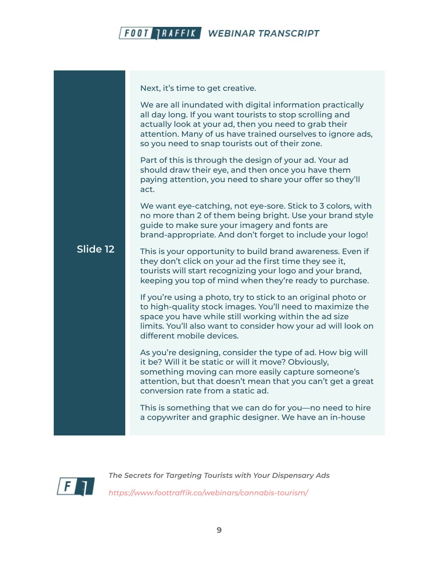

Next, it's time to get creative.

We are all inundated with digital information practically all day long. If you want tourists to stop scrolling and actually look at your ad, then you need to grab their attention. Many of us have trained ourselves to ignore ads, so you need to snap tourists out of their zone.

Part of this is through the design of your ad. Your ad should draw their eye, and then once you have them paying attention, you need to share your offer so they'll act.

We want eye-catching, not eye-sore. Stick to 3 colors, with no more than 2 of them being bright. Use your brand style guide to make sure your imagery and fonts are brand-appropriate. And don't forget to include your logo!

#### **Slide 12** This is your opportunity to build brand awareness. Even if they don't click on your ad the first time they see it, tourists will start recognizing your logo and your brand, keeping you top of mind when they're ready to purchase.

If you're using a photo, try to stick to an original photo or to high-quality stock images. You'll need to maximize the space you have while still working within the ad size limits. You'll also want to consider how your ad will look on different mobile devices.

As you're designing, consider the type of ad. How big will it be? Will it be static or will it move? Obviously, something moving can more easily capture someone's attention, but that doesn't mean that you can't get a great conversion rate from a static ad.

This is something that we can do for you—no need to hire a copywriter and graphic designer. We have an in-house

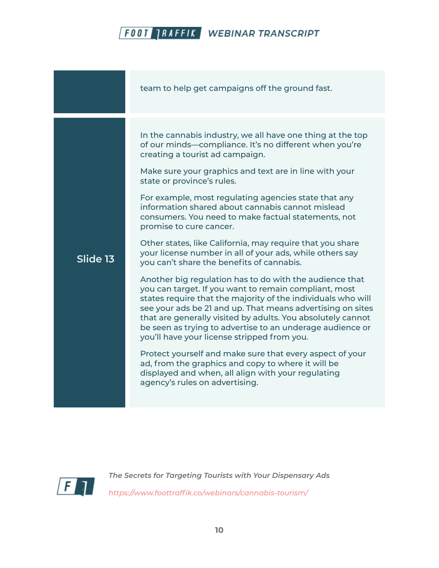|          | team to help get campaigns off the ground fast.                                                                                                                                                                                                                                                                                                                                                                                                                                                                                                                                                                                                                                                                                                                                                                                                                                                                                                                                                                                                                                                                                                                                                                                                            |
|----------|------------------------------------------------------------------------------------------------------------------------------------------------------------------------------------------------------------------------------------------------------------------------------------------------------------------------------------------------------------------------------------------------------------------------------------------------------------------------------------------------------------------------------------------------------------------------------------------------------------------------------------------------------------------------------------------------------------------------------------------------------------------------------------------------------------------------------------------------------------------------------------------------------------------------------------------------------------------------------------------------------------------------------------------------------------------------------------------------------------------------------------------------------------------------------------------------------------------------------------------------------------|
| Slide 13 | In the cannabis industry, we all have one thing at the top<br>of our minds-compliance. It's no different when you're<br>creating a tourist ad campaign.<br>Make sure your graphics and text are in line with your<br>state or province's rules.<br>For example, most regulating agencies state that any<br>information shared about cannabis cannot mislead<br>consumers. You need to make factual statements, not<br>promise to cure cancer.<br>Other states, like California, may require that you share<br>your license number in all of your ads, while others say<br>you can't share the benefits of cannabis.<br>Another big regulation has to do with the audience that<br>you can target. If you want to remain compliant, most<br>states require that the majority of the individuals who will<br>see your ads be 21 and up. That means advertising on sites<br>that are generally visited by adults. You absolutely cannot<br>be seen as trying to advertise to an underage audience or<br>you'll have your license stripped from you.<br>Protect yourself and make sure that every aspect of your<br>ad, from the graphics and copy to where it will be<br>displayed and when, all align with your regulating<br>agency's rules on advertising. |

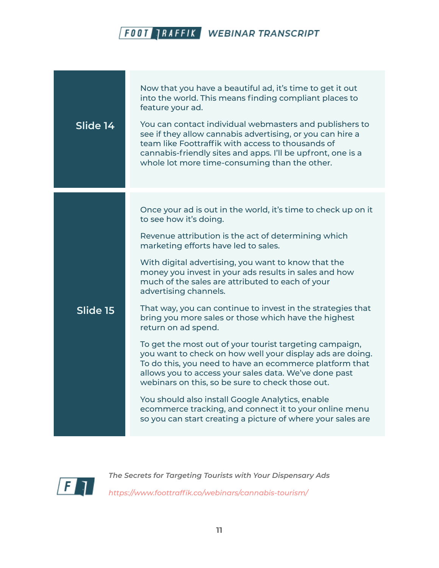| Slide 14 | Now that you have a beautiful ad, it's time to get it out<br>into the world. This means finding compliant places to<br>feature your ad.<br>You can contact individual webmasters and publishers to<br>see if they allow cannabis advertising, or you can hire a<br>team like Foottraffik with access to thousands of<br>cannabis-friendly sites and apps. I'll be upfront, one is a<br>whole lot more time-consuming than the other.                                                                                                                                                                                                                                                                                                                                                                                                                                                                                                                                                                           |
|----------|----------------------------------------------------------------------------------------------------------------------------------------------------------------------------------------------------------------------------------------------------------------------------------------------------------------------------------------------------------------------------------------------------------------------------------------------------------------------------------------------------------------------------------------------------------------------------------------------------------------------------------------------------------------------------------------------------------------------------------------------------------------------------------------------------------------------------------------------------------------------------------------------------------------------------------------------------------------------------------------------------------------|
| Slide 15 | Once your ad is out in the world, it's time to check up on it<br>to see how it's doing.<br>Revenue attribution is the act of determining which<br>marketing efforts have led to sales.<br>With digital advertising, you want to know that the<br>money you invest in your ads results in sales and how<br>much of the sales are attributed to each of your<br>advertising channels.<br>That way, you can continue to invest in the strategies that<br>bring you more sales or those which have the highest<br>return on ad spend.<br>To get the most out of your tourist targeting campaign,<br>you want to check on how well your display ads are doing.<br>To do this, you need to have an ecommerce platform that<br>allows you to access your sales data. We've done past<br>webinars on this, so be sure to check those out.<br>You should also install Google Analytics, enable<br>ecommerce tracking, and connect it to your online menu<br>so you can start creating a picture of where your sales are |

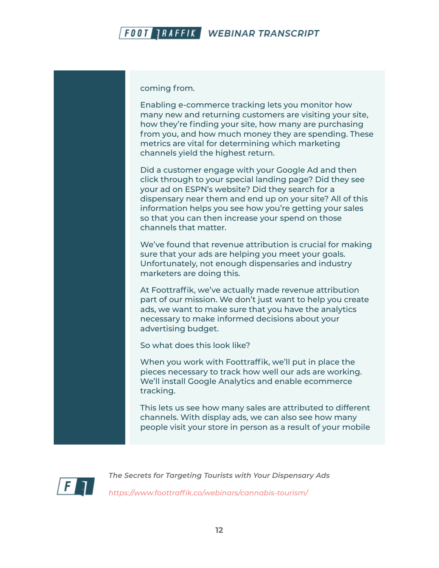

coming from.

Enabling e-commerce tracking lets you monitor how many new and returning customers are visiting your site, how they're finding your site, how many are purchasing from you, and how much money they are spending. These metrics are vital for determining which marketing channels yield the highest return.

Did a customer engage with your Google Ad and then click through to your special landing page? Did they see your ad on ESPN's website? Did they search for a dispensary near them and end up on your site? All of this information helps you see how you're getting your sales so that you can then increase your spend on those channels that matter.

We've found that revenue attribution is crucial for making sure that your ads are helping you meet your goals. Unfortunately, not enough dispensaries and industry marketers are doing this.

At Foottraffik, we've actually made revenue attribution part of our mission. We don't just want to help you create ads, we want to make sure that you have the analytics necessary to make informed decisions about your advertising budget.

So what does this look like?

When you work with Foottraffik, we'll put in place the pieces necessary to track how well our ads are working. We'll install Google Analytics and enable ecommerce tracking.

This lets us see how many sales are attributed to different channels. With display ads, we can also see how many people visit your store in person as a result of your mobile

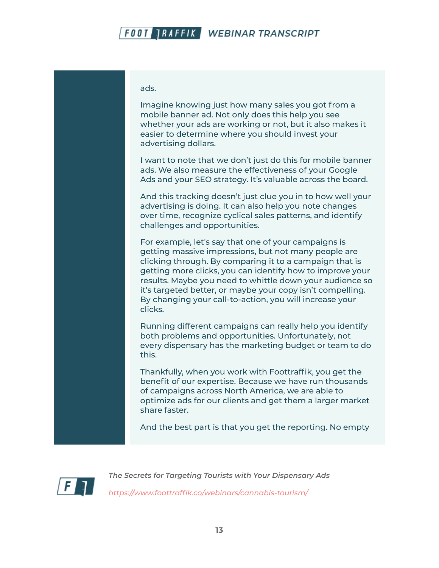ads.

Imagine knowing just how many sales you got from a mobile banner ad. Not only does this help you see whether your ads are working or not, but it also makes it easier to determine where you should invest your advertising dollars.

I want to note that we don't just do this for mobile banner ads. We also measure the effectiveness of your Google Ads and your SEO strategy. It's valuable across the board.

And this tracking doesn't just clue you in to how well your advertising is doing. It can also help you note changes over time, recognize cyclical sales patterns, and identify challenges and opportunities.

For example, let's say that one of your campaigns is getting massive impressions, but not many people are clicking through. By comparing it to a campaign that is getting more clicks, you can identify how to improve your results. Maybe you need to whittle down your audience so it's targeted better, or maybe your copy isn't compelling. By changing your call-to-action, you will increase your clicks.

Running different campaigns can really help you identify both problems and opportunities. Unfortunately, not every dispensary has the marketing budget or team to do this.

Thankfully, when you work with Foottraffik, you get the benefit of our expertise. Because we have run thousands of campaigns across North America, we are able to optimize ads for our clients and get them a larger market share faster.

And the best part is that you get the reporting. No empty

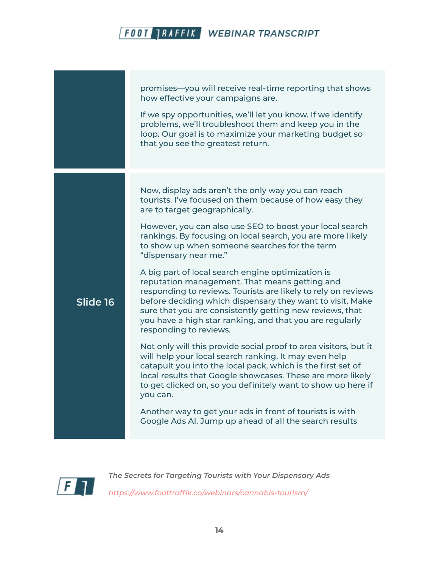promises—you will receive real-time reporting that shows how effective your campaigns are. If we spy opportunities, we'll let you know. If we identify problems, we'll troubleshoot them and keep you in the loop. Our goal is to maximize your marketing budget so that you see the greatest return. **Slide 16** Now, display ads aren't the only way you can reach tourists. I've focused on them because of how easy they are to target geographically. However, you can also use SEO to boost your local search rankings. By focusing on local search, you are more likely to show up when someone searches for the term "dispensary near me." A big part of local search engine optimization is reputation management. That means getting and responding to reviews. Tourists are likely to rely on reviews before deciding which dispensary they want to visit. Make sure that you are consistently getting new reviews, that you have a high star ranking, and that you are regularly responding to reviews. Not only will this provide social proof to area visitors, but it will help your local search ranking. It may even help catapult you into the local pack, which is the first set of local results that Google showcases. These are more likely to get clicked on, so you definitely want to show up here if you can. Another way to get your ads in front of tourists is with Google Ads AI. Jump up ahead of all the search results

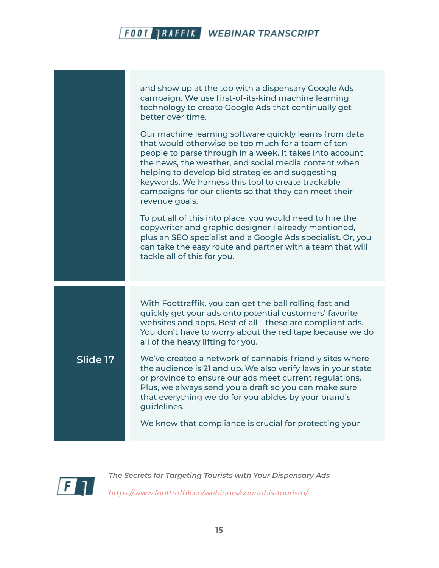and show up at the top with a dispensary Google Ads campaign. We use first-of-its-kind machine learning technology to create Google Ads that continually get better over time. Our machine learning software quickly learns from data that would otherwise be too much for a team of ten people to parse through in a week. It takes into account the news, the weather, and social media content when helping to develop bid strategies and suggesting keywords. We harness this tool to create trackable campaigns for our clients so that they can meet their revenue goals. To put all of this into place, you would need to hire the copywriter and graphic designer I already mentioned, plus an SEO specialist and a Google Ads specialist. Or, you can take the easy route and partner with a team that will tackle all of this for you. **Slide 17** With Foottraffik, you can get the ball rolling fast and quickly get your ads onto potential customers' favorite websites and apps. Best of all—these are compliant ads. You don't have to worry about the red tape because we do all of the heavy lifting for you. We've created a network of cannabis-friendly sites where the audience is 21 and up. We also verify laws in your state or province to ensure our ads meet current regulations. Plus, we always send you a draft so you can make sure that everything we do for you abides by your brand's guidelines. We know that compliance is crucial for protecting your

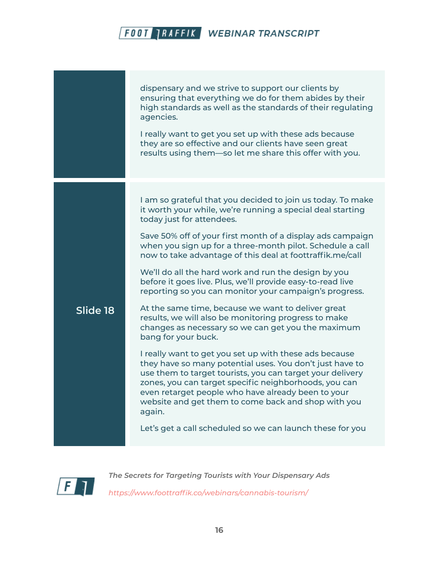dispensary and we strive to support our clients by ensuring that everything we do for them abides by their high standards as well as the standards of their regulating agencies. I really want to get you set up with these ads because they are so effective and our clients have seen great results using them—so let me share this offer with you. **Slide 18** I am so grateful that you decided to join us today. To make it worth your while, we're running a special deal starting today just for attendees. Save 50% off of your first month of a display ads campaign when you sign up for a three-month pilot. Schedule a call now to take advantage of this deal at foottraffik.me/call We'll do all the hard work and run the design by you before it goes live. Plus, we'll provide easy-to-read live reporting so you can monitor your campaign's progress. At the same time, because we want to deliver great results, we will also be monitoring progress to make changes as necessary so we can get you the maximum bang for your buck. I really want to get you set up with these ads because they have so many potential uses. You don't just have to use them to target tourists, you can target your delivery zones, you can target specific neighborhoods, you can even retarget people who have already been to your website and get them to come back and shop with you again. Let's get a call scheduled so we can launch these for you